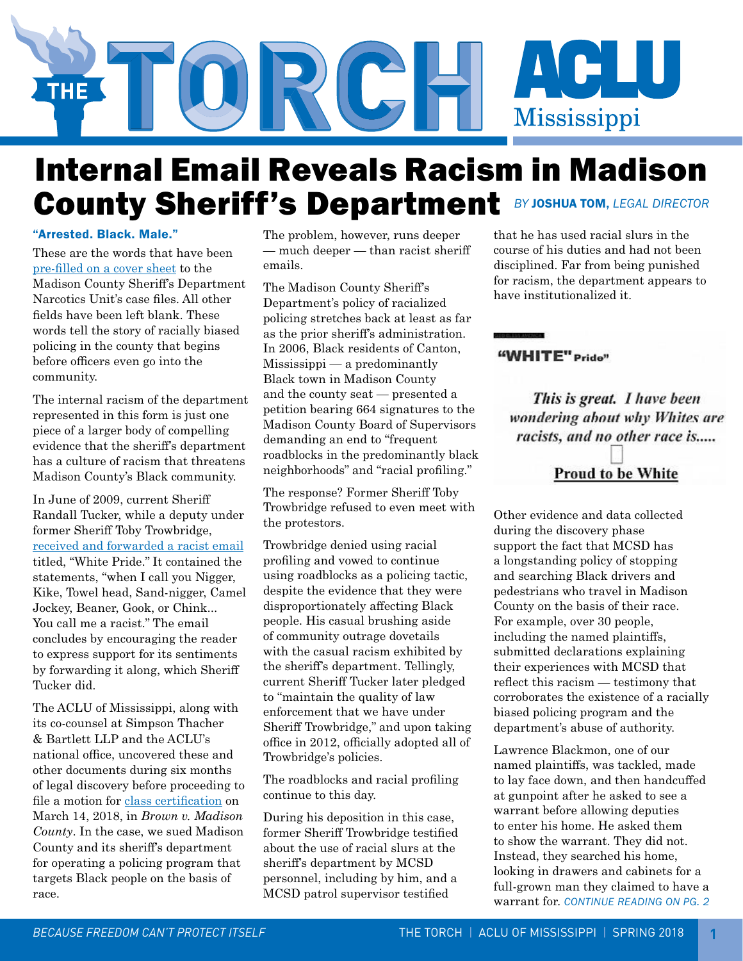

## Internal Email Reveals Racism in Madison County Sheriff's Department *BY* JOSHUA TOM, *LEGAL DIRECTOR*

#### "Arrested. Black. Male."

These are the words that have been [pre-filled on a cover sheet](http://www.clarionledger.com/story/news/politics/2018/03/14/almost-9-out-10-arrested-seat-belt-violations-madison-county-black/423120002/) to the Madison County Sheriff's Department Narcotics Unit's case files. All other fields have been left blank. These words tell the story of racially biased policing in the county that begins before officers even go into the community.

The internal racism of the department represented in this form is just one piece of a larger body of compelling evidence that the sheriff's department has a culture of racism that threatens Madison County's Black community.

In June of 2009, current Sheriff Randall Tucker, while a deputy under former Sheriff Toby Trowbridge, [received and forwarded a racist email](http://reason.com/blog/2018/03/14/white-pride-email-circulated-among-missi) titled, "White Pride." It contained the statements, "when I call you Nigger, Kike, Towel head, Sand-nigger, Camel Jockey, Beaner, Gook, or Chink... You call me a racist." The email concludes by encouraging the reader to express support for its sentiments by forwarding it along, which Sheriff Tucker did.

The ACLU of Mississippi, along with its co-counsel at Simpson Thacher & Bartlett LLP and the ACLU's national office, uncovered these and other documents during six months of legal discovery before proceeding to file a motion for [class certification](http://www.aclu-ms.org/en/brown-v-madison-county-class-certification) on March 14, 2018, in *Brown v. Madison County*. In the case, we sued Madison County and its sheriff's department for operating a policing program that targets Black people on the basis of race.

The problem, however, runs deeper — much deeper — than racist sheriff emails.

The Madison County Sheriff's Department's policy of racialized policing stretches back at least as far as the prior sheriff's administration. In 2006, Black residents of Canton, Mississippi — a predominantly Black town in Madison County and the county seat — presented a petition bearing 664 signatures to the Madison County Board of Supervisors demanding an end to "frequent roadblocks in the predominantly black neighborhoods" and "racial profiling."

The response? Former Sheriff Toby Trowbridge refused to even meet with the protestors.

Trowbridge denied using racial profiling and vowed to continue using roadblocks as a policing tactic, despite the evidence that they were disproportionately affecting Black people. His casual brushing aside of community outrage dovetails with the casual racism exhibited by the sheriff's department. Tellingly, current Sheriff Tucker later pledged to "maintain the quality of law enforcement that we have under Sheriff Trowbridge," and upon taking office in 2012, officially adopted all of Trowbridge's policies.

The roadblocks and racial profiling continue to this day.

During his deposition in this case, former Sheriff Trowbridge testified about the use of racial slurs at the sheriff's department by MCSD personnel, including by him, and a MCSD patrol supervisor testified

that he has used racial slurs in the course of his duties and had not been disciplined. Far from being punished for racism, the department appears to have institutionalized it.

#### "WHITE" Pride"

This is great. I have been wondering about why Whites are racists, and no other race is..... **Proud to be White** 

Other evidence and data collected during the discovery phase support the fact that MCSD has a longstanding policy of stopping and searching Black drivers and pedestrians who travel in Madison County on the basis of their race. For example, over 30 people, including the named plaintiffs, submitted declarations explaining their experiences with MCSD that reflect this racism — testimony that corroborates the existence of a racially biased policing program and the department's abuse of authority.

Lawrence Blackmon, one of our named plaintiffs, was tackled, made to lay face down, and then handcuffed at gunpoint after he asked to see a warrant before allowing deputies to enter his home. He asked them to show the warrant. They did not. Instead, they searched his home, looking in drawers and cabinets for a full-grown man they claimed to have a warrant for. *CONTINUE READING ON PG. 2*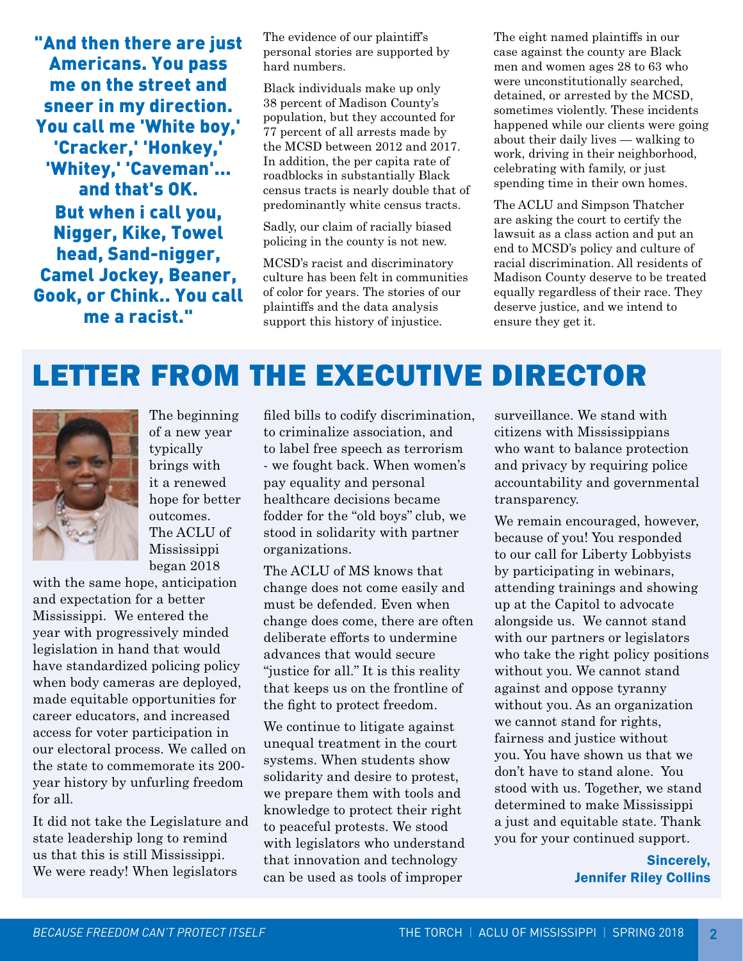"And then there are just Americans. You pass me on the street and sneer in my direction. You call me 'White boy,' 'Cracker,' 'Honkey,' 'Whitey,' 'Caveman'... and that's OK. But when i call you, Nigger, Kike, Towel head, Sand-nigger, Camel Jockey, Beaner, Gook, or Chink.. You call me a racist."

The evidence of our plaintiff's personal stories are supported by hard numbers.

Black individuals make up only 38 percent of Madison County's population, but they accounted for 77 percent of all arrests made by the MCSD between 2012 and 2017. In addition, the per capita rate of roadblocks in substantially Black census tracts is nearly double that of predominantly white census tracts.

Sadly, our claim of racially biased policing in the county is not new.

MCSD's racist and discriminatory culture has been felt in communities of color for years. The stories of our plaintiffs and the data analysis support this history of injustice.

The eight named plaintiffs in our case against the county are Black men and women ages 28 to 63 who were unconstitutionally searched, detained, or arrested by the MCSD, sometimes violently. These incidents happened while our clients were going about their daily lives — walking to work, driving in their neighborhood, celebrating with family, or just spending time in their own homes.

The ACLU and Simpson Thatcher are asking the court to certify the lawsuit as a class action and put an end to MCSD's policy and culture of racial discrimination. All residents of Madison County deserve to be treated equally regardless of their race. They deserve justice, and we intend to ensure they get it.

# LETTER FROM THE EXECUTIVE DIRECTOR



The beginning of a new year typically brings with it a renewed hope for better outcomes. The ACLU of Mississippi began 2018

with the same hope, anticipation and expectation for a better Mississippi. We entered the year with progressively minded legislation in hand that would have standardized policing policy when body cameras are deployed, made equitable opportunities for career educators, and increased access for voter participation in our electoral process. We called on the state to commemorate its 200 year history by unfurling freedom for all.

It did not take the Legislature and state leadership long to remind us that this is still Mississippi. We were ready! When legislators

filed bills to codify discrimination, to criminalize association, and to label free speech as terrorism - we fought back. When women's pay equality and personal healthcare decisions became fodder for the "old boys" club, we stood in solidarity with partner organizations.

The ACLU of MS knows that change does not come easily and must be defended. Even when change does come, there are often deliberate efforts to undermine advances that would secure "justice for all." It is this reality that keeps us on the frontline of the fight to protect freedom.

We continue to litigate against unequal treatment in the court systems. When students show solidarity and desire to protest, we prepare them with tools and knowledge to protect their right to peaceful protests. We stood with legislators who understand that innovation and technology can be used as tools of improper

surveillance. We stand with citizens with Mississippians who want to balance protection and privacy by requiring police accountability and governmental transparency.

We remain encouraged, however, because of you! You responded to our call for Liberty Lobbyists by participating in webinars, attending trainings and showing up at the Capitol to advocate alongside us. We cannot stand with our partners or legislators who take the right policy positions without you. We cannot stand against and oppose tyranny without you. As an organization we cannot stand for rights, fairness and justice without you. You have shown us that we don't have to stand alone. You stood with us. Together, we stand determined to make Mississippi a just and equitable state. Thank you for your continued support.

> Sincerely, Jennifer Riley Collins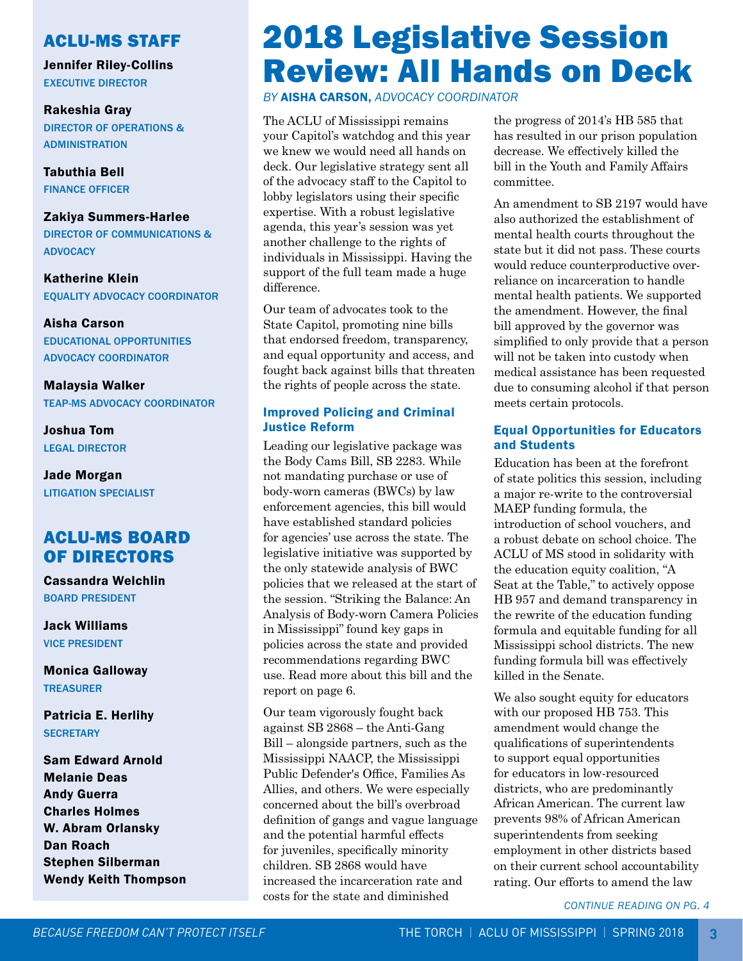#### ACLU-MS STAFF

Jennifer Riley-Collins EXECUTIVE DIRECTOR

Rakeshia Gray DIRECTOR OF OPERATIONS & ADMINISTRATION

Tabuthia Bell FINANCE OFFICER

#### Zakiya Summers-Harlee

DIRECTOR OF COMMUNICATIONS & **ADVOCACY** 

Katherine Klein EQUALITY ADVOCACY COORDINATOR

Aisha Carson EDUCATIONAL OPPORTUNITIES ADVOCACY COORDINATOR

Malaysia Walker TEAP-MS ADVOCACY COORDINATOR

Joshua Tom LEGAL DIRECTOR

Jade Morgan LITIGATION SPECIALIST

### ACLU-MS BOARD OF DIRECTORS

Cassandra Welchlin BOARD PRESIDENT

Jack Williams VICE PRESIDENT

Monica Galloway TREASURER

Patricia E. Herlihy **SECRETARY** 

Sam Edward Arnold Melanie Deas Andy Guerra Charles Holmes W. Abram Orlansky Dan Roach Stephen Silberman Wendy Keith Thompson

# 2018 Legislative Session Review: All Hands on Deck

*BY* AISHA CARSON, *ADVOCACY COORDINATOR* 

The ACLU of Mississippi remains your Capitol's watchdog and this year we knew we would need all hands on deck. Our legislative strategy sent all of the advocacy staff to the Capitol to lobby legislators using their specific expertise. With a robust legislative agenda, this year's session was yet another challenge to the rights of individuals in Mississippi. Having the support of the full team made a huge difference.

Our team of advocates took to the State Capitol, promoting nine bills that endorsed freedom, transparency, and equal opportunity and access, and fought back against bills that threaten the rights of people across the state.

#### Improved Policing and Criminal Justice Reform

Leading our legislative package was the Body Cams Bill, SB 2283. While not mandating purchase or use of body-worn cameras (BWCs) by law enforcement agencies, this bill would have established standard policies for agencies' use across the state. The legislative initiative was supported by the only statewide analysis of BWC policies that we released at the start of the session. "Striking the Balance: An Analysis of Body-worn Camera Policies in Mississippi" found key gaps in policies across the state and provided recommendations regarding BWC use. Read more about this bill and the report on page 6.

Our team vigorously fought back against SB 2868 – the Anti-Gang Bill – alongside partners, such as the Mississippi NAACP, the Mississippi Public Defender's Office, Families As Allies, and others. We were especially concerned about the bill's overbroad definition of gangs and vague language and the potential harmful effects for juveniles, specifically minority children. SB 2868 would have increased the incarceration rate and costs for the state and diminished

the progress of 2014's HB 585 that has resulted in our prison population decrease. We effectively killed the bill in the Youth and Family Affairs committee.

An amendment to SB 2197 would have also authorized the establishment of mental health courts throughout the state but it did not pass. These courts would reduce counterproductive overreliance on incarceration to handle mental health patients. We supported the amendment. However, the final bill approved by the governor was simplified to only provide that a person will not be taken into custody when medical assistance has been requested due to consuming alcohol if that person meets certain protocols.

#### Equal Opportunities for Educators and Students

Education has been at the forefront of state politics this session, including a major re-write to the controversial MAEP funding formula, the introduction of school vouchers, and a robust debate on school choice. The ACLU of MS stood in solidarity with the education equity coalition, "A Seat at the Table," to actively oppose HB 957 and demand transparency in the rewrite of the education funding formula and equitable funding for all Mississippi school districts. The new funding formula bill was effectively killed in the Senate.

We also sought equity for educators with our proposed HB 753. This amendment would change the qualifications of superintendents to support equal opportunities for educators in low-resourced districts, who are predominantly African American. The current law prevents 98% of African American superintendents from seeking employment in other districts based on their current school accountability rating. Our efforts to amend the law

*CONTINUE READING ON PG. 4*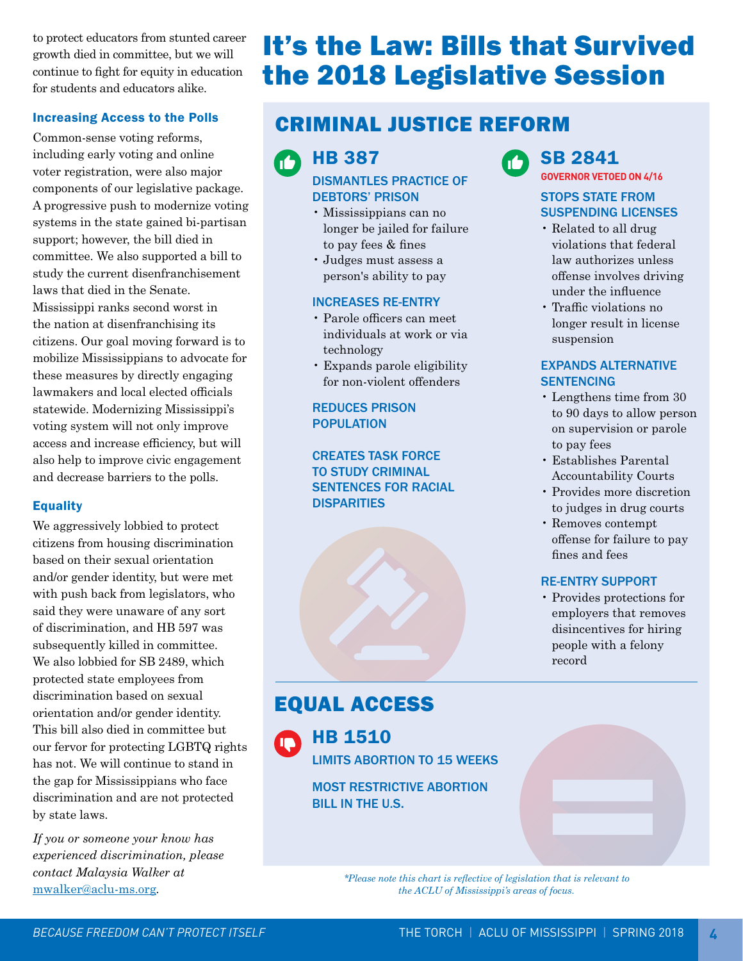to protect educators from stunted career growth died in committee, but we will continue to fight for equity in education for students and educators alike.

#### Increasing Access to the Polls

Common-sense voting reforms, including early voting and online voter registration, were also major components of our legislative package. A progressive push to modernize voting systems in the state gained bi-partisan support; however, the bill died in committee. We also supported a bill to study the current disenfranchisement laws that died in the Senate. Mississippi ranks second worst in the nation at disenfranchising its citizens. Our goal moving forward is to mobilize Mississippians to advocate for these measures by directly engaging lawmakers and local elected officials

statewide. Modernizing Mississippi's voting system will not only improve access and increase efficiency, but will also help to improve civic engagement and decrease barriers to the polls.

#### Equality

We aggressively lobbied to protect citizens from housing discrimination based on their sexual orientation and/or gender identity, but were met with push back from legislators, who said they were unaware of any sort of discrimination, and HB 597 was subsequently killed in committee. We also lobbied for SB 2489, which protected state employees from discrimination based on sexual orientation and/or gender identity. This bill also died in committee but our fervor for protecting LGBTQ rights has not. We will continue to stand in the gap for Mississippians who face discrimination and are not protected by state laws.

*If you or someone your know has experienced discrimination, please contact Malaysia Walker at* 

## It's the Law: Bills that Survived the 2018 Legislative Session

## CRIMINAL JUSTICE REFORM

63 HB 387

> DISMANTLES PRACTICE OF DEBTORS' PRISON

- Mississippians can no longer be jailed for failure to pay fees & fines
- Judges must assess a person's ability to pay

#### INCREASES RE-ENTRY

- Parole officers can meet individuals at work or via technology
- Expands parole eligibility for non-violent offenders

REDUCES PRISON POPULATION

CREATES TASK FORCE TO STUDY CRIMINAL SENTENCES FOR RACIAL **DISPARITIES** 



#### SB 2841 **GOVERNOR VETOED ON 4/16**

#### STOPS STATE FROM SUSPENDING LICENSES

- Related to all drug violations that federal law authorizes unless offense involves driving under the influence
- Traffic violations no longer result in license suspension

#### EXPANDS ALTERNATIVE **SENTENCING**

- Lengthens time from 30 to 90 days to allow person on supervision or parole to pay fees
- Establishes Parental Accountability Courts
- Provides more discretion to judges in drug courts
- Removes contempt offense for failure to pay fines and fees

#### RE-ENTRY SUPPORT

• Provides protections for employers that removes disincentives for hiring people with a felony record

## EQUAL ACCESS



HB 1510 LIMITS ABORTION TO 15 WEEKS

MOST RESTRICTIVE ABORTION BILL IN THE U.S.

[mwalker@aclu-ms.org](mailto:mwalker@aclu-ms.org)*. \*Please note this chart is reflective of legislation that is relevant to the ACLU of Mississippi's areas of focus.*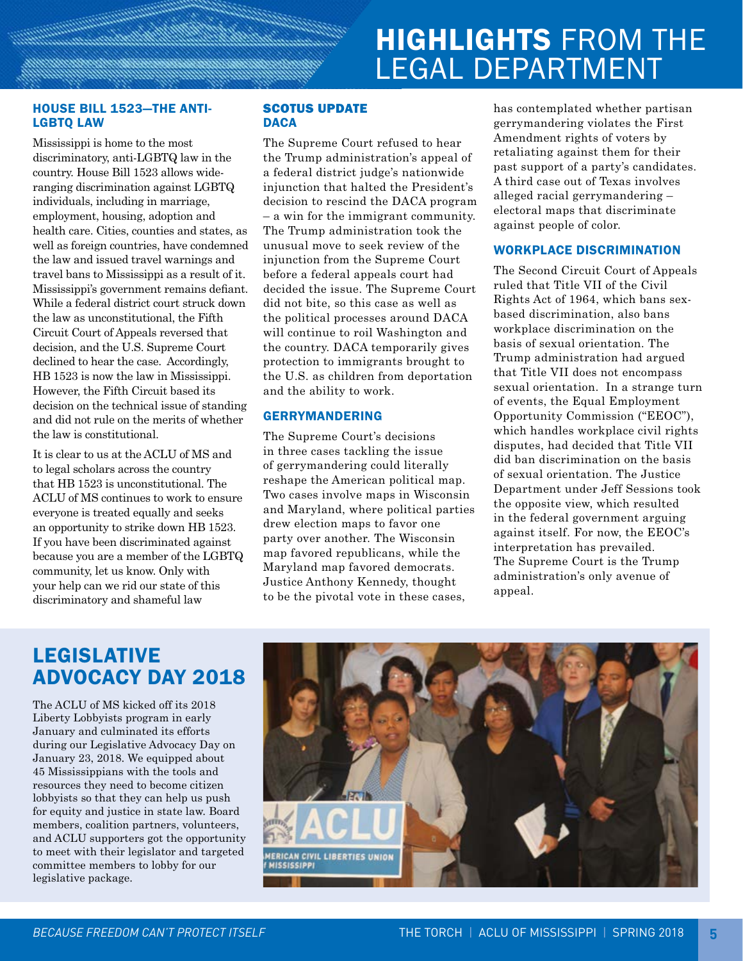# HIGHLIGHTS FROM THE LEGAL DEPARTMENT

#### HOUSE BILL 1523—THE ANTI-LGBTQ LAW

Mississippi is home to the most discriminatory, anti-LGBTQ law in the country. House Bill 1523 allows wideranging discrimination against LGBTQ individuals, including in marriage, employment, housing, adoption and health care. Cities, counties and states, as well as foreign countries, have condemned the law and issued travel warnings and travel bans to Mississippi as a result of it. Mississippi's government remains defiant. While a federal district court struck down the law as unconstitutional, the Fifth Circuit Court of Appeals reversed that decision, and the U.S. Supreme Court declined to hear the case. Accordingly, HB 1523 is now the law in Mississippi. However, the Fifth Circuit based its decision on the technical issue of standing and did not rule on the merits of whether the law is constitutional.

It is clear to us at the ACLU of MS and to legal scholars across the country that HB 1523 is unconstitutional. The ACLU of MS continues to work to ensure everyone is treated equally and seeks an opportunity to strike down HB 1523. If you have been discriminated against because you are a member of the LGBTQ community, let us know. Only with your help can we rid our state of this discriminatory and shameful law

#### SCOTUS UPDATE **DACA**

The Supreme Court refused to hear the Trump administration's appeal of a federal district judge's nationwide injunction that halted the President's decision to rescind the DACA program – a win for the immigrant community. The Trump administration took the unusual move to seek review of the injunction from the Supreme Court before a federal appeals court had decided the issue. The Supreme Court did not bite, so this case as well as the political processes around DACA will continue to roil Washington and the country. DACA temporarily gives protection to immigrants brought to the U.S. as children from deportation and the ability to work.

#### GERRYMANDERING

The Supreme Court's decisions in three cases tackling the issue of gerrymandering could literally reshape the American political map. Two cases involve maps in Wisconsin and Maryland, where political parties drew election maps to favor one party over another. The Wisconsin map favored republicans, while the Maryland map favored democrats. Justice Anthony Kennedy, thought to be the pivotal vote in these cases,

has contemplated whether partisan gerrymandering violates the First Amendment rights of voters by retaliating against them for their past support of a party's candidates. A third case out of Texas involves alleged racial gerrymandering – electoral maps that discriminate against people of color.

#### WORKPLACE DISCRIMINATION

The Second Circuit Court of Appeals ruled that Title VII of the Civil Rights Act of 1964, which bans sexbased discrimination, also bans workplace discrimination on the basis of sexual orientation. The Trump administration had argued that Title VII does not encompass sexual orientation. In a strange turn of events, the Equal Employment Opportunity Commission ("EEOC"), which handles workplace civil rights disputes, had decided that Title VII did ban discrimination on the basis of sexual orientation. The Justice Department under Jeff Sessions took the opposite view, which resulted in the federal government arguing against itself. For now, the EEOC's interpretation has prevailed. The Supreme Court is the Trump administration's only avenue of appeal.

## LEGISLATIVE ADVOCACY DAY 2018

The ACLU of MS kicked off its 2018 Liberty Lobbyists program in early January and culminated its efforts during our Legislative Advocacy Day on January 23, 2018. We equipped about 45 Mississippians with the tools and resources they need to become citizen lobbyists so that they can help us push for equity and justice in state law. Board members, coalition partners, volunteers, and ACLU supporters got the opportunity to meet with their legislator and targeted committee members to lobby for our legislative package.

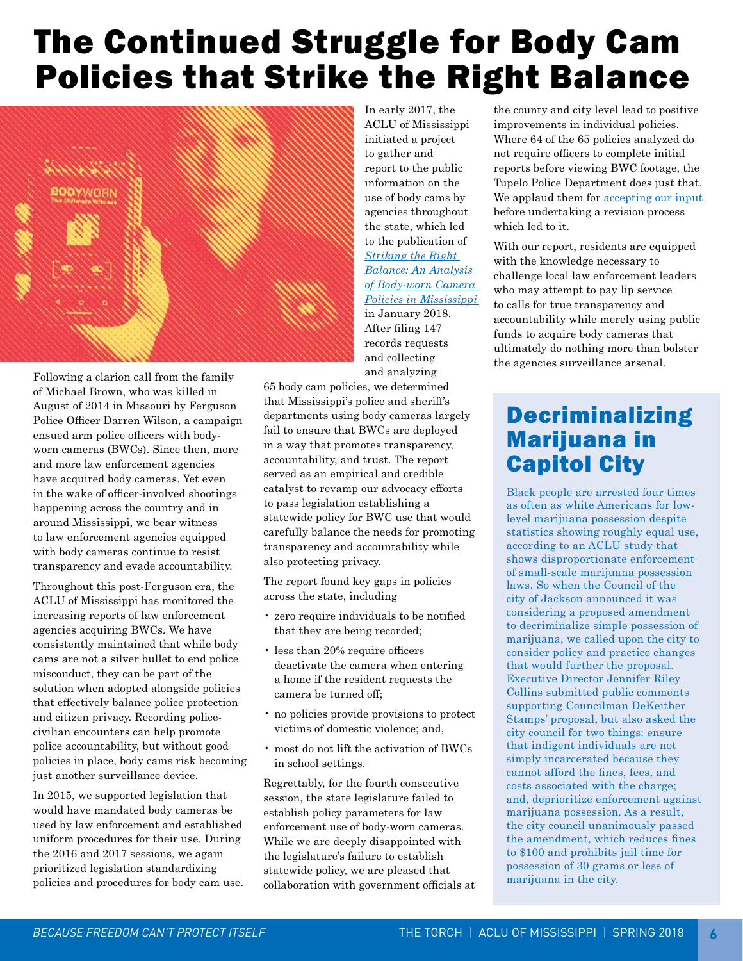# The Continued Struggle for Body Cam Policies that Strike the Right Balance



Following a clarion call from the family of Michael Brown, who was killed in August of 2014 in Missouri by Ferguson Police Officer Darren Wilson, a campaign ensued arm police officers with bodyworn cameras (BWCs). Since then, more and more law enforcement agencies have acquired body cameras. Yet even in the wake of officer-involved shootings happening across the country and in around Mississippi, we bear witness to law enforcement agencies equipped with body cameras continue to resist transparency and evade accountability.

Throughout this post-Ferguson era, the ACLU of Mississippi has monitored the increasing reports of law enforcement agencies acquiring BWCs. We have consistently maintained that while body cams are not a silver bullet to end police misconduct, they can be part of the solution when adopted alongside policies that effectively balance police protection and citizen privacy. Recording policecivilian encounters can help promote police accountability, but without good policies in place, body cams risk becoming just another surveillance device.

In 2015, we supported legislation that would have mandated body cameras be used by law enforcement and established uniform procedures for their use. During the 2016 and 2017 sessions, we again prioritized legislation standardizing policies and procedures for body cam use. In early 2017, the ACLU of Mississippi initiated a project to gather and report to the public information on the use of body cams by agencies throughout the state, which led to the publication of *[Striking the Right](http://www.aclu-ms.org/sites/default/files/field_documents/aclu_body_cam_report_2017_digital.pdf)  [Balance: An Analysis](http://www.aclu-ms.org/sites/default/files/field_documents/aclu_body_cam_report_2017_digital.pdf)  [of Body-worn Camera](http://www.aclu-ms.org/sites/default/files/field_documents/aclu_body_cam_report_2017_digital.pdf)  [Policies in Mississippi](http://www.aclu-ms.org/sites/default/files/field_documents/aclu_body_cam_report_2017_digital.pdf)*  in January 2018. After filing 147 records requests and collecting

and analyzing

65 body cam policies, we determined that Mississippi's police and sheriff's departments using body cameras largely fail to ensure that BWCs are deployed in a way that promotes transparency, accountability, and trust. The report served as an empirical and credible catalyst to revamp our advocacy efforts to pass legislation establishing a statewide policy for BWC use that would carefully balance the needs for promoting transparency and accountability while also protecting privacy.

The report found key gaps in policies across the state, including

- zero require individuals to be notified that they are being recorded;
- less than 20% require officers deactivate the camera when entering a home if the resident requests the camera be turned off;
- no policies provide provisions to protect victims of domestic violence; and,
- most do not lift the activation of BWCs in school settings.

Regrettably, for the fourth consecutive session, the state legislature failed to establish policy parameters for law enforcement use of body-worn cameras. While we are deeply disappointed with the legislature's failure to establish statewide policy, we are pleased that collaboration with government officials at the county and city level lead to positive improvements in individual policies. Where 64 of the 65 policies analyzed do not require officers to complete initial reports before viewing BWC footage, the Tupelo Police Department does just that. We applaud them for [accepting our input](http://www.djournal.com/opinion/our-opinion-body-camera-policy-big-step-for-police/article_da555154-0042-5709-a223-b5834e4a1bee.html) before undertaking a revision process which led to it.

With our report, residents are equipped with the knowledge necessary to challenge local law enforcement leaders who may attempt to pay lip service to calls for true transparency and accountability while merely using public funds to acquire body cameras that ultimately do nothing more than bolster the agencies surveillance arsenal.

## Decriminalizing Marijuana in Capitol City

Black people are arrested four times as often as white Americans for lowlevel marijuana possession despite statistics showing roughly equal use, according to an ACLU study that shows disproportionate enforcement of small-scale marijuana possession laws. So when the Council of the city of Jackson announced it was considering a proposed amendment to decriminalize simple possession of marijuana, we called upon the city to consider policy and practice changes that would further the proposal. Executive Director Jennifer Riley Collins submitted public comments supporting Councilman DeKeither Stamps' proposal, but also asked the city council for two things: ensure that indigent individuals are not simply incarcerated because they cannot afford the fines, fees, and costs associated with the charge; and, deprioritize enforcement against marijuana possession. As a result, the city council unanimously passed the amendment, which reduces fines to \$100 and prohibits jail time for possession of 30 grams or less of marijuana in the city.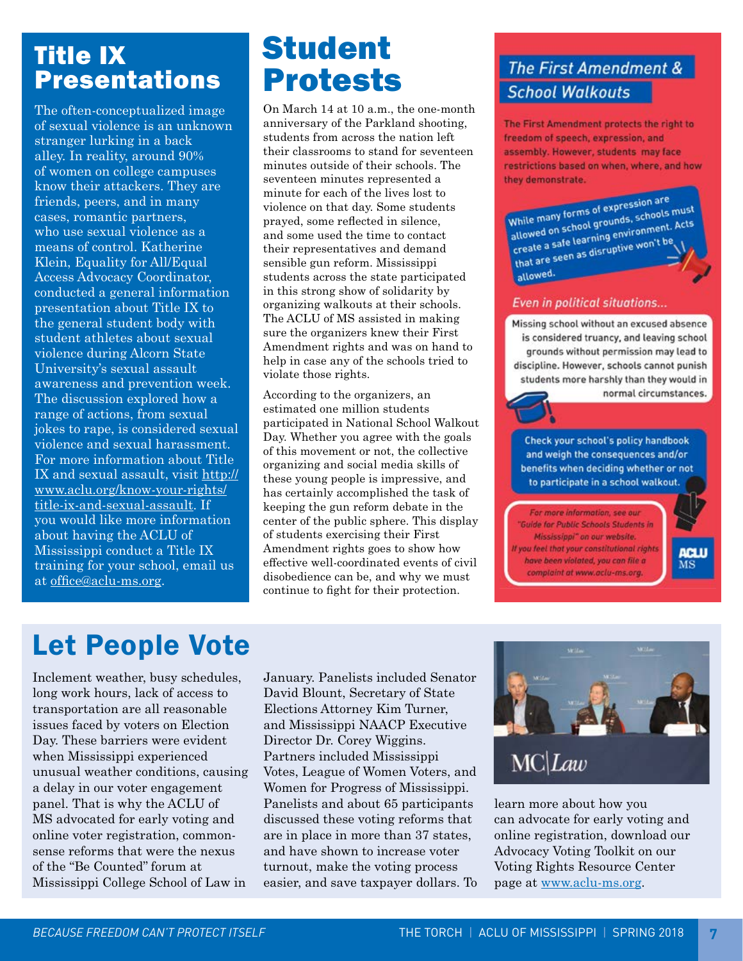## Title IX **Presentations**

The often-conceptualized image of sexual violence is an unknown stranger lurking in a back alley. In reality, around 90% of women on college campuses know their attackers. They are friends, peers, and in many cases, romantic partners, who use sexual violence as a means of control. Katherine Klein, Equality for All/Equal Access Advocacy Coordinator, conducted a general information presentation about Title IX to the general student body with student athletes about sexual violence during Alcorn State University's sexual assault awareness and prevention week. The discussion explored how a range of actions, from sexual jokes to rape, is considered sexual violence and sexual harassment. For more information about Title IX and sexual assault, visit [http://](http://www.aclu.org/know-your-rights/title-ix-and-sexual-assault) [www.aclu.org/know-your-rights/](http://www.aclu.org/know-your-rights/title-ix-and-sexual-assault) [title-ix-and-sexual-assault](http://www.aclu.org/know-your-rights/title-ix-and-sexual-assault). If you would like more information about having the ACLU of Mississippi conduct a Title IX training for your school, email us at [office@aclu-ms.org](mailto:office@aclu-ms.org).

# Student Protests

On March 14 at 10 a.m., the one-month anniversary of the Parkland shooting, students from across the nation left their classrooms to stand for seventeen minutes outside of their schools. The seventeen minutes represented a minute for each of the lives lost to violence on that day. Some students prayed, some reflected in silence, and some used the time to contact their representatives and demand sensible gun reform. Mississippi students across the state participated in this strong show of solidarity by organizing walkouts at their schools. The ACLU of MS assisted in making sure the organizers knew their First Amendment rights and was on hand to help in case any of the schools tried to violate those rights.

According to the organizers, an estimated one million students participated in National School Walkout Day. Whether you agree with the goals of this movement or not, the collective organizing and social media skills of these young people is impressive, and has certainly accomplished the task of keeping the gun reform debate in the center of the public sphere. This display of students exercising their First Amendment rights goes to show how effective well-coordinated events of civil disobedience can be, and why we must continue to fight for their protection.

## The First Amendment & **School Walkouts**

The First Amendment protects the right to freedom of speech, expression, and assembly. However, students may face restrictions based on when, where, and how they demonstrate.

While many forms of expression are<br>while many forms of expression are While many forms of expression are<br>allowed on school grounds, schools must<br>allowed on school grounds, schools must While many forms of<br>allowed on school grounds, schools must<br>create a safe learning environment. Acts allowed on surface experiments.<br>Create a safe learning environments.<br>that are seen as disruptive won't be allowed.

#### **Even in political situations...**

Missing school without an excused absence is considered truancy, and leaving school grounds without permission may lead to discipline. However, schools cannot punish students more harshly than they would in normal circumstances.

Check your school's policy handbook and weigh the consequences and/or benefits when deciding whether or not to participate in a school walkout.

For more information, see our Guide for Public Schools Students in Mississippi" on our website. If you feel that your constitutional rights have been violated, you can file a complaint at www.aclu-ms.org.

ura

# Let People Vote

Inclement weather, busy schedules, long work hours, lack of access to transportation are all reasonable issues faced by voters on Election Day. These barriers were evident when Mississippi experienced unusual weather conditions, causing a delay in our voter engagement panel. That is why the ACLU of MS advocated for early voting and online voter registration, commonsense reforms that were the nexus of the "Be Counted" forum at Mississippi College School of Law in

January. Panelists included Senator David Blount, Secretary of State Elections Attorney Kim Turner, and Mississippi NAACP Executive Director Dr. Corey Wiggins. Partners included Mississippi Votes, League of Women Voters, and Women for Progress of Mississippi. Panelists and about 65 participants discussed these voting reforms that are in place in more than 37 states, and have shown to increase voter turnout, make the voting process easier, and save taxpayer dollars. To



learn more about how you can advocate for early voting and online registration, download our Advocacy Voting Toolkit on our Voting Rights Resource Center page at [www.aclu-ms.org.](http://www.aclu-ms.org)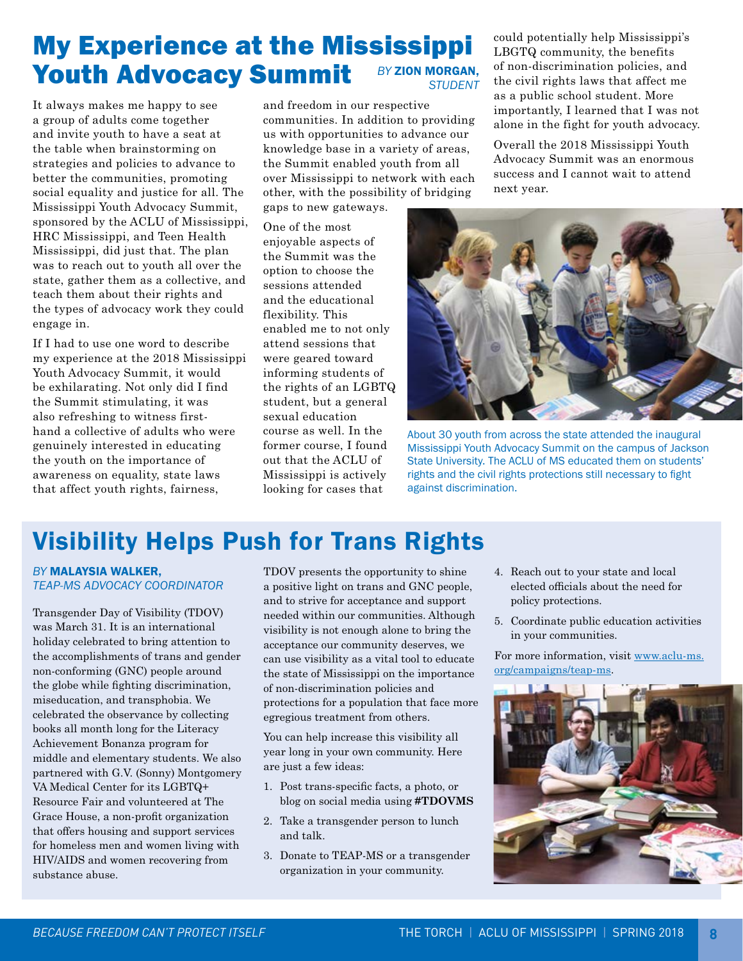### My Experience at the Mississippi Youth Advocacy Summit *BY ZION MORGAN*, *STUDENT*

It always makes me happy to see a group of adults come together and invite youth to have a seat at the table when brainstorming on strategies and policies to advance to better the communities, promoting social equality and justice for all. The Mississippi Youth Advocacy Summit, sponsored by the ACLU of Mississippi, HRC Mississippi, and Teen Health Mississippi, did just that. The plan was to reach out to youth all over the state, gather them as a collective, and teach them about their rights and the types of advocacy work they could engage in.

If I had to use one word to describe my experience at the 2018 Mississippi Youth Advocacy Summit, it would be exhilarating. Not only did I find the Summit stimulating, it was also refreshing to witness firsthand a collective of adults who were genuinely interested in educating the youth on the importance of awareness on equality, state laws that affect youth rights, fairness,

and freedom in our respective communities. In addition to providing us with opportunities to advance our knowledge base in a variety of areas, the Summit enabled youth from all over Mississippi to network with each other, with the possibility of bridging gaps to new gateways.

One of the most enjoyable aspects of the Summit was the option to choose the sessions attended and the educational flexibility. This enabled me to not only attend sessions that were geared toward informing students of the rights of an LGBTQ student, but a general sexual education course as well. In the former course, I found out that the ACLU of Mississippi is actively looking for cases that

could potentially help Mississippi's LBGTQ community, the benefits of non-discrimination policies, and the civil rights laws that affect me as a public school student. More importantly, I learned that I was not alone in the fight for youth advocacy.

Overall the 2018 Mississippi Youth Advocacy Summit was an enormous success and I cannot wait to attend next year.



About 30 youth from across the state attended the inaugural Mississippi Youth Advocacy Summit on the campus of Jackson State University. The ACLU of MS educated them on students' rights and the civil rights protections still necessary to fight against discrimination.

## Visibility Helps Push for Trans Rights

#### *BY* MALAYSIA WALKER, *TEAP-MS ADVOCACY COORDINATOR*

Transgender Day of Visibility (TDOV) was March 31. It is an international holiday celebrated to bring attention to the accomplishments of trans and gender non-conforming (GNC) people around the globe while fighting discrimination, miseducation, and transphobia. We celebrated the observance by collecting books all month long for the Literacy Achievement Bonanza program for middle and elementary students. We also partnered with G.V. (Sonny) Montgomery VA Medical Center for its LGBTQ+ Resource Fair and volunteered at The Grace House, a non-profit organization that offers housing and support services for homeless men and women living with HIV/AIDS and women recovering from substance abuse.

TDOV presents the opportunity to shine a positive light on trans and GNC people, and to strive for acceptance and support needed within our communities. Although visibility is not enough alone to bring the acceptance our community deserves, we can use visibility as a vital tool to educate the state of Mississippi on the importance of non-discrimination policies and protections for a population that face more egregious treatment from others.

You can help increase this visibility all year long in your own community. Here are just a few ideas:

- 1. Post trans-specific facts, a photo, or blog on social media using **#TDOVMS**
- 2. Take a transgender person to lunch and talk.
- 3. Donate to TEAP-MS or a transgender organization in your community.
- 4. Reach out to your state and local elected officials about the need for policy protections.
- 5. Coordinate public education activities in your communities.

For more information, visit [www.aclu-ms.](http://www.aclu-ms.org/campaigns/teap-ms) [org/campaigns/teap-ms.](http://www.aclu-ms.org/campaigns/teap-ms)

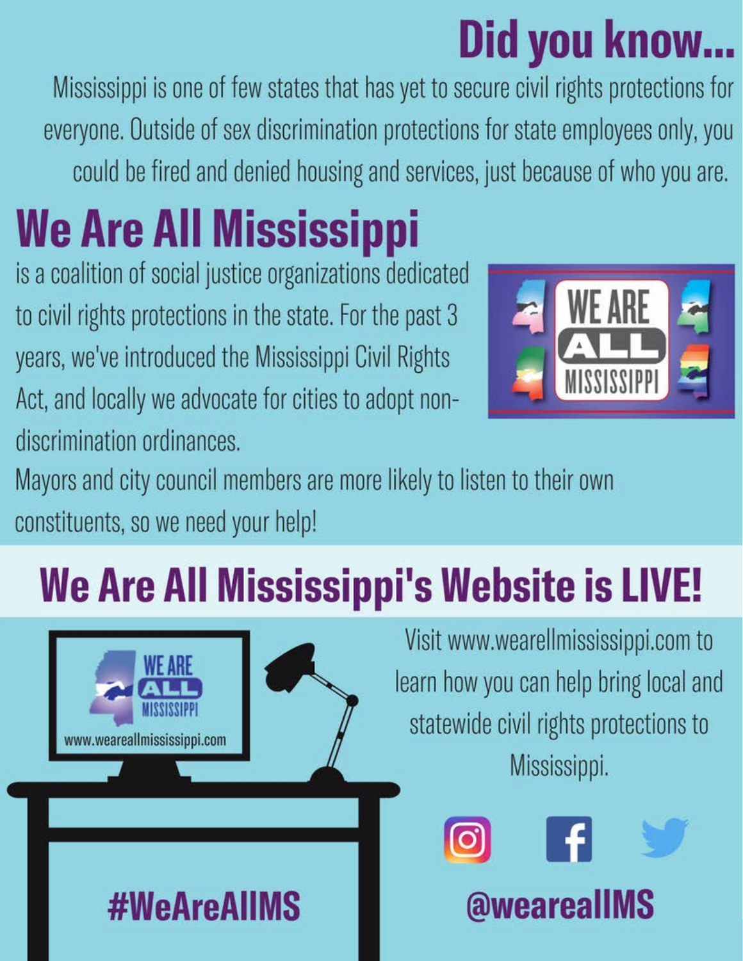# Did you know...

Mississippi is one of few states that has yet to secure civil rights protections for everyone. Outside of sex discrimination protections for state employees only, you could be fired and denied housing and services, just because of who you are.

# **We Are All Mississippi**

is a coalition of social justice organizations dedicated to civil rights protections in the state. For the past 3 years, we've introduced the Mississippi Civil Rights Act, and locally we advocate for cities to adopt nondiscrimination ordinances.



Mayors and city council members are more likely to listen to their own constituents, so we need your help!

# We Are All Mississippi's Website is LIVE!



Visit www.wearellmississippi.com to learn how you can help bring local and statewide civil rights protections to Mississippi.



@wearealIMS